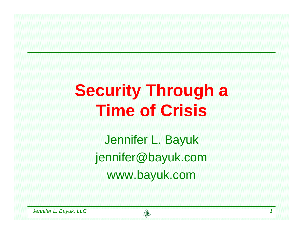# **Security Through a Time of Crisis**

Jennifer L. Bayuk jennifer@bayuk.com www.bayuk.com

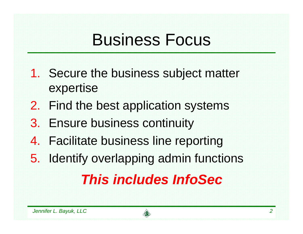## Business Focus

- 1. Secure the business subject matter expertise
- 2. Find the best application systems
- 3. Ensure business continuity
- 4. Facilitate business line reporting
- 5. Identify overlapping admin functions

## *This includes InfoSec*

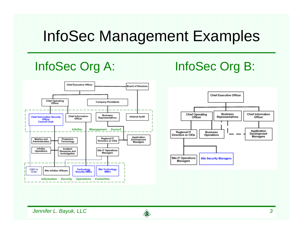## InfoSec Management Examples



### InfoSec Org A: InfoSec Org B:



*Jennifer L. Bayuk, LLC 3*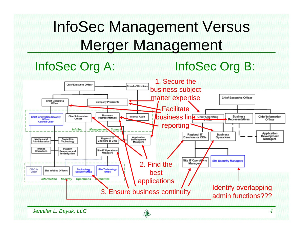## InfoSec Management Versus Merger Management

### InfoSec Org A: InfoSec Org B:

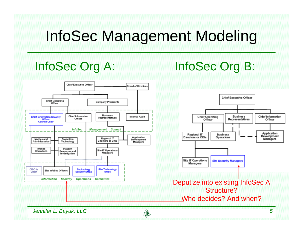## InfoSec Management Modeling



### InfoSec Org A: InfoSec Org B:

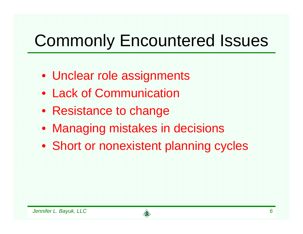# Commonly Encountered Issues

- Unclear role assignments
- Lack of Communication
- Resistance to change
- Managing mistakes in decisions
- Short or nonexistent planning cycles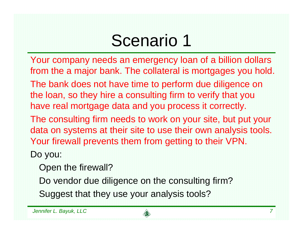# Scenario 1

Your company needs an emergency loan of a billion dollars from the a major bank. The collateral is mortgages you hold. The bank does not have time to perform due diligence on the loan, so they hire a consulting firm to verify that you have real mortgage data and you process it correctly. The consulting firm needs to work on your site, but put your data on systems at their site to use their own analysis tools. Your firewall prevents them from getting to their VPN.

Do you:

Open the firewall?

Do vendor due diligence on the consulting firm?

Suggest that they use your analysis tools?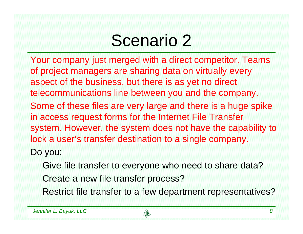# Scenario 2

Your company just merged with a direct competitor. Teams of project managers are sharing data on virtually every aspect of the business, but there is as yet no direct telecommunications line between you and the company. Some of these files are very large and there is a huge spike in access request forms for the Internet File Transfer system. However, the system does not have the capability to lock a user's transfer destination to a single company.

Do you:

Give file transfer to everyone who need to share data?

Create a new file transfer process?

Restrict file transfer to a few department representatives?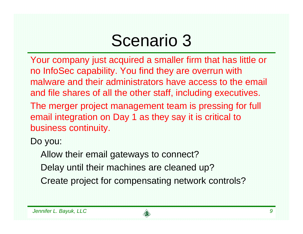## Scenario 3

Your company just acquired a smaller firm that has little or no InfoSec capability. You find they are overrun with malware and their administrators have access to the email and file shares of all the other staff, including executives. The merger project management team is pressing for full email integration on Day 1 as they say it is critical to business continuity.

Do you:

Allow their email gateways to connect?

Delay until their machines are cleaned up?

Create project for compensating network controls?